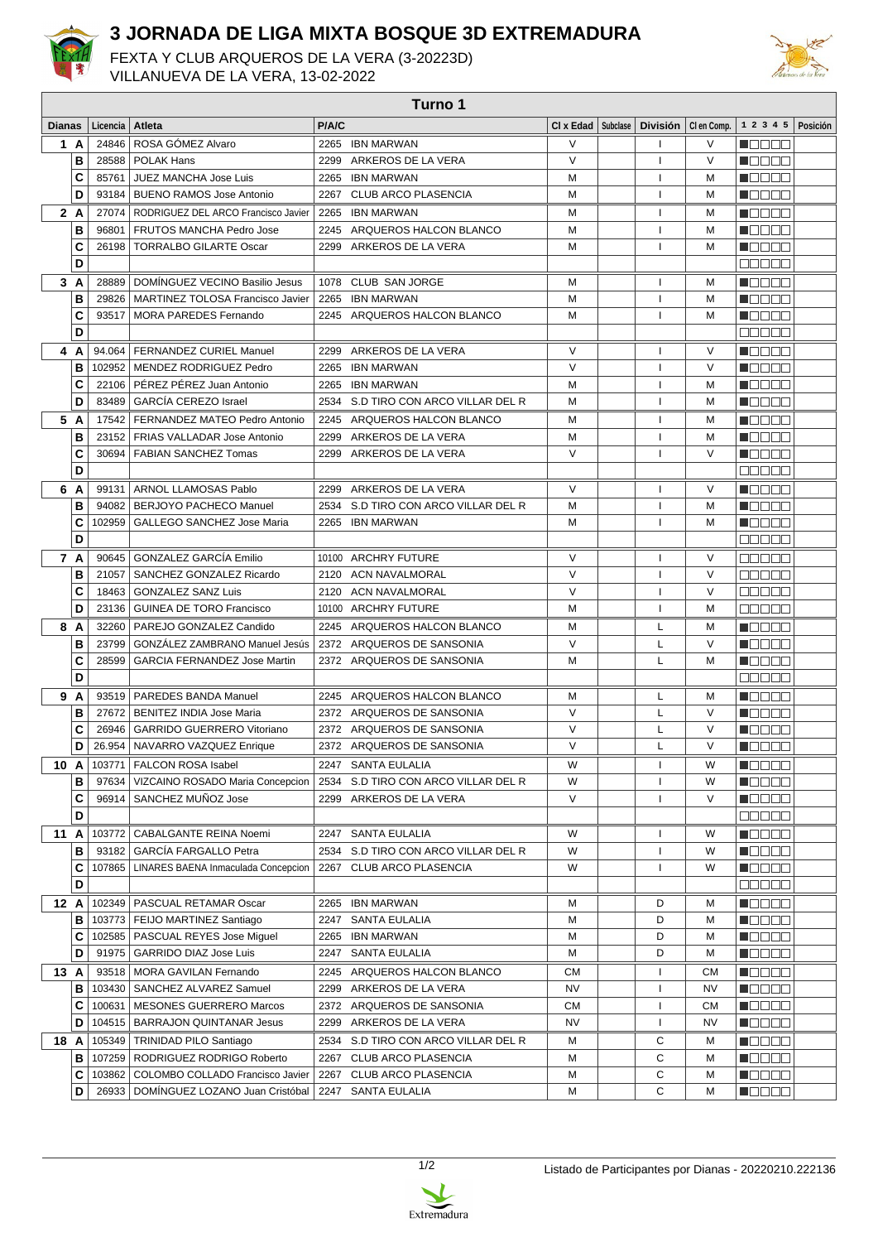

## **3 JORNADA DE LIGA MIXTA BOSQUE 3D EXTREMADURA**

FEXTA Y CLUB ARQUEROS DE LA VERA (3-20223D) VILLANUEVA DE LA VERA, 13-02-2022



| Turno 1       |     |          |                                              |       |                                     |                               |                 |             |                      |          |
|---------------|-----|----------|----------------------------------------------|-------|-------------------------------------|-------------------------------|-----------------|-------------|----------------------|----------|
| <b>Dianas</b> |     | Licencia | Atleta                                       | P/A/C |                                     | $CI \times$ Edad $ $ Subclase | <b>División</b> | CI en Comp. | 1 2 3 4 5            | Posición |
|               | 1 A | 24846    | ROSA GÓMEZ Alvaro                            |       | 2265 IBN MARWAN                     | V                             | J.              | V           | n din bin            |          |
|               | В   | 28588    | <b>POLAK Hans</b>                            |       | 2299 ARKEROS DE LA VERA             | V                             | $\mathbf{I}$    | $\vee$      | N E E E E            |          |
|               | C   | 85761    | JUEZ MANCHA Jose Luis                        |       | 2265 IBN MARWAN                     | М                             | $\mathbf{I}$    | м           | n je je je je        |          |
|               | D   | 93184    | <b>BUENO RAMOS Jose Antonio</b>              |       | 2267 CLUB ARCO PLASENCIA            | М                             | 1               | м           | n de Ele             |          |
|               | 2 A | 27074    | RODRIGUEZ DEL ARCO Francisco Javier          |       | 2265 IBN MARWAN                     | М                             | $\mathbf{I}$    | м           | n See S              |          |
|               | В   | 96801    | FRUTOS MANCHA Pedro Jose                     |       | 2245 ARQUEROS HALCON BLANCO         | М                             | J.              | M           | n de se              |          |
|               | C   | 26198    | <b>TORRALBO GILARTE Oscar</b>                |       | 2299 ARKEROS DE LA VERA             | М                             | T               | м           | n de se              |          |
|               | D   |          |                                              |       |                                     |                               |                 |             | e e e e e            |          |
|               | 3 A | 28889    | DOMÍNGUEZ VECINO Basilio Jesus               |       | 1078 CLUB SAN JORGE                 | М                             | 1               | м           | n se se              |          |
|               | В   | 29826    | MARTINEZ TOLOSA Francisco Javier             |       | 2265 IBN MARWAN                     | М                             | 1               | м           | n de se              |          |
|               | C   | 93517    | MORA PAREDES Fernando                        |       | 2245 ARQUEROS HALCON BLANCO         | М                             | $\mathbf{I}$    | м           | n Els Els            |          |
|               | D   |          |                                              |       |                                     |                               |                 |             | e e e e e            |          |
| 4             | A   |          | 94.064   FERNANDEZ CURIEL Manuel             |       | 2299 ARKEROS DE LA VERA             | V                             | $\mathbf{I}$    | V           | n e se               |          |
|               | в   |          | 102952   MENDEZ RODRIGUEZ Pedro              |       | 2265 IBN MARWAN                     | $\vee$                        | $\mathbf{I}$    | $\vee$      | M O O O O            |          |
|               | C   | 22106    | PÉREZ PÉREZ Juan Antonio                     |       | 2265 IBN MARWAN                     | М                             | $\mathbf{I}$    | м           | N O O O O            |          |
|               | D   | 83489    | <b>GARCÍA CEREZO Israel</b>                  |       | 2534 S.D TIRO CON ARCO VILLAR DEL R | M                             | -1              | м           | 1   3   3   3   3    |          |
|               | 5 A |          | 17542   FERNANDEZ MATEO Pedro Antonio        | 2245  | ARQUEROS HALCON BLANCO              | М                             | $\mathbf{I}$    | м           | n Eleis e            |          |
|               | В   |          | 23152   FRIAS VALLADAR Jose Antonio          |       | 2299 ARKEROS DE LA VERA             | М                             | 1               | м           | Maaaa                |          |
|               | C   | 30694    | <b>FABIAN SANCHEZ Tomas</b>                  |       | 2299 ARKEROS DE LA VERA             | $\vee$                        |                 | $\vee$      | n Els Els            |          |
|               | D   |          |                                              |       |                                     |                               |                 |             | e se se              |          |
| 6             | A   | 99131    | ARNOL LLAMOSAS Pablo                         |       | 2299 ARKEROS DE LA VERA             | $\vee$                        | л.              | $\vee$      | N E E E E            |          |
|               | В   | 94082    | <b>BERJOYO PACHECO Manuel</b>                |       | 2534 S.D TIRO CON ARCO VILLAR DEL R | М                             | л.              | м           | n de se              |          |
|               | C   | 102959   | <b>GALLEGO SANCHEZ Jose Maria</b>            |       | 2265 IBN MARWAN                     | М                             | $\mathbf{I}$    | м           | Mala a B             |          |
|               | D   |          |                                              |       |                                     |                               |                 |             | a a a a a            |          |
|               | 7 A | 90645    | <b>GONZALEZ GARCÍA Emilio</b>                |       | 10100 ARCHRY FUTURE                 | V                             | J.              | $\vee$      | Ma Sin               |          |
|               | В   | 21057    | SANCHEZ GONZALEZ Ricardo                     |       | 2120 ACN NAVALMORAL                 | V                             | $\mathbf{I}$    | $\vee$      | MA NA U              |          |
|               | C   | 18463    | <b>GONZALEZ SANZ Luis</b>                    |       | 2120 ACN NAVALMORAL                 | V                             | 1               | $\vee$      | a de e e             |          |
|               | D   | 23136    | <b>GUINEA DE TORO Francisco</b>              |       | 10100 ARCHRY FUTURE                 | М                             | 1               | м           | e e e e e            |          |
|               | 8 A | 32260    | PAREJO GONZALEZ Candido                      |       | 2245 ARQUEROS HALCON BLANCO         | М                             | L               | м           | n e se               |          |
|               | В   | 23799    | <b>GONZALEZ ZAMBRANO Manuel Jesús</b>        |       | 2372 ARQUEROS DE SANSONIA           | V                             | L               | $\vee$      | n de e a             |          |
|               | C   | 28599    | <b>GARCIA FERNANDEZ Jose Martin</b>          |       | 2372 ARQUEROS DE SANSONIA           | М                             | L               | м           | n an Din             |          |
|               | D   |          |                                              |       |                                     |                               |                 |             | e e e e e            |          |
|               | 9 A |          | 93519   PAREDES BANDA Manuel                 |       | 2245 ARQUEROS HALCON BLANCO         | м                             | L               | м           | MA TITLE             |          |
|               | в   | 27672    | BENITEZ INDIA Jose Maria                     |       | 2372 ARQUEROS DE SANSONIA           | $\vee$                        | L               | $\vee$      | M O O O O            |          |
|               | C   | 26946    | <b>GARRIDO GUERRERO Vitoriano</b>            |       | 2372 ARQUEROS DE SANSONIA           | V                             | Г               | V           | n Els Els            |          |
|               | D   |          | 26.954   NAVARRO VAZQUEZ Enrique             |       | 2372 ARQUEROS DE SANSONIA           | $\vee$                        | L               | $\vee$      | n Els Els            |          |
| 10 A          |     |          | 103771   FALCON ROSA Isabel                  |       | 2247 SANTA EULALIA                  | W                             | л.              | W           | MOO OO               |          |
|               | в   | 97634    | VIZCAINO ROSADO Maria Concepcion             |       | 2534 S.D TIRO CON ARCO VILLAR DEL R | W                             | 1               | W           | 1000 C               |          |
|               | С   | 96914    | SANCHEZ MUNOZ Jose                           |       | 2299 ARKEROS DE LA VERA             | V                             |                 | V           | <u> de se</u>        |          |
|               | D   |          |                                              |       |                                     |                               |                 |             | 88888                |          |
| 11A           |     | 103772   | CABALGANTE REINA Noemi                       |       | 2247 SANTA EULALIA                  | W                             | J.              | W           | n E E E E            |          |
|               | в   |          | 93182   GARCÍA FARGALLO Petra                |       | 2534 S.D TIRO CON ARCO VILLAR DEL R | W                             | J.              | W           | n de e e             |          |
|               | C   |          | 107865   LINARES BAENA Inmaculada Concepcion | 2267  | CLUB ARCO PLASENCIA                 | W                             | 1               | W           | <u> Liberal Si</u>   |          |
|               | D   |          |                                              |       |                                     |                               |                 |             | 88888                |          |
| 12 A          |     |          | 102349   PASCUAL RETAMAR Oscar               |       | 2265 IBN MARWAN                     | м                             | D               | м           | Maaaa                |          |
|               | в   |          | 103773   FEIJO MARTINEZ Santiago             |       | 2247 SANTA EULALIA                  | м                             | D               | м           | <u> de la la la </u> |          |
|               | C   |          | 102585   PASCUAL REYES Jose Miguel           |       | 2265 IBN MARWAN                     | М                             | D               | M           | n de e e             |          |
|               | D   |          | 91975   GARRIDO DIAZ Jose Luis               |       | 2247 SANTA EULALIA                  | м                             | D               | м           | <u> Hele a B</u>     |          |
| 13A           |     |          | 93518   MORA GAVILAN Fernando                |       | 2245 ARQUEROS HALCON BLANCO         | <b>CM</b>                     | 1               | <b>CM</b>   |                      |          |
|               | в   |          | 103430   SANCHEZ ALVAREZ Samuel              |       | 2299 ARKEROS DE LA VERA             | NV                            | 1               | NV          |                      |          |
|               | C   | 100631   | MESONES GUERRERO Marcos                      |       | 2372 ARQUEROS DE SANSONIA           | CM                            | 1               | <b>CM</b>   | N DO OO              |          |
|               | D   |          | 104515   BARRAJON QUINTANAR Jesus            |       | 2299 ARKEROS DE LA VERA             | NV                            | 1               | NV          | <u> Nasar</u>        |          |
| 18 A          |     |          | 105349   TRINIDAD PILO Santiago              |       | 2534 S.D TIRO CON ARCO VILLAR DEL R | м                             | С               | м           | Macaal               |          |
|               | в   |          | 107259   RODRIGUEZ RODRIGO Roberto           |       | 2267 CLUB ARCO PLASENCIA            | М                             | С               | м           | M S S S S S          |          |
|               | C   |          | 103862   COLOMBO COLLADO Francisco Javier    |       | 2267 CLUB ARCO PLASENCIA            | м                             | С               | м           | MOG 80               |          |
|               | D   |          | 26933   DOMINGUEZ LOZANO Juan Cristóbal      |       | 2247 SANTA EULALIA                  | М                             | C               | М           | <b>R</b> OOOO        |          |